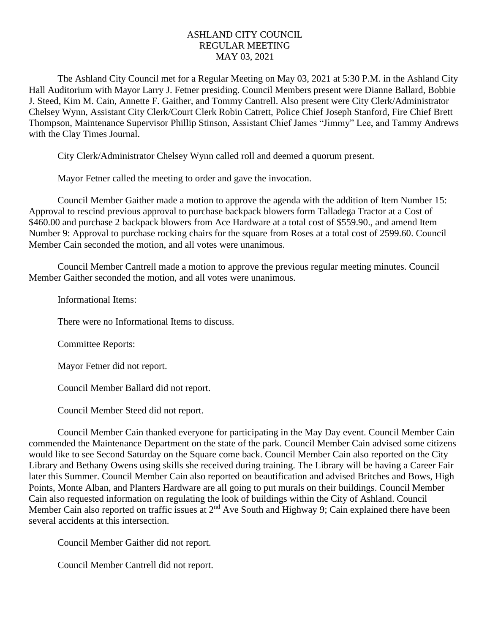## ASHLAND CITY COUNCIL REGULAR MEETING MAY 03, 2021

The Ashland City Council met for a Regular Meeting on May 03, 2021 at 5:30 P.M. in the Ashland City Hall Auditorium with Mayor Larry J. Fetner presiding. Council Members present were Dianne Ballard, Bobbie J. Steed, Kim M. Cain, Annette F. Gaither, and Tommy Cantrell. Also present were City Clerk/Administrator Chelsey Wynn, Assistant City Clerk/Court Clerk Robin Catrett, Police Chief Joseph Stanford, Fire Chief Brett Thompson, Maintenance Supervisor Phillip Stinson, Assistant Chief James "Jimmy" Lee, and Tammy Andrews with the Clay Times Journal.

City Clerk/Administrator Chelsey Wynn called roll and deemed a quorum present.

Mayor Fetner called the meeting to order and gave the invocation.

Council Member Gaither made a motion to approve the agenda with the addition of Item Number 15: Approval to rescind previous approval to purchase backpack blowers form Talladega Tractor at a Cost of \$460.00 and purchase 2 backpack blowers from Ace Hardware at a total cost of \$559.90., and amend Item Number 9: Approval to purchase rocking chairs for the square from Roses at a total cost of 2599.60. Council Member Cain seconded the motion, and all votes were unanimous.

Council Member Cantrell made a motion to approve the previous regular meeting minutes. Council Member Gaither seconded the motion, and all votes were unanimous.

Informational Items:

There were no Informational Items to discuss.

Committee Reports:

Mayor Fetner did not report.

Council Member Ballard did not report.

Council Member Steed did not report.

Council Member Cain thanked everyone for participating in the May Day event. Council Member Cain commended the Maintenance Department on the state of the park. Council Member Cain advised some citizens would like to see Second Saturday on the Square come back. Council Member Cain also reported on the City Library and Bethany Owens using skills she received during training. The Library will be having a Career Fair later this Summer. Council Member Cain also reported on beautification and advised Britches and Bows, High Points, Monte Alban, and Planters Hardware are all going to put murals on their buildings. Council Member Cain also requested information on regulating the look of buildings within the City of Ashland. Council Member Cain also reported on traffic issues at 2<sup>nd</sup> Ave South and Highway 9; Cain explained there have been several accidents at this intersection.

Council Member Gaither did not report.

Council Member Cantrell did not report.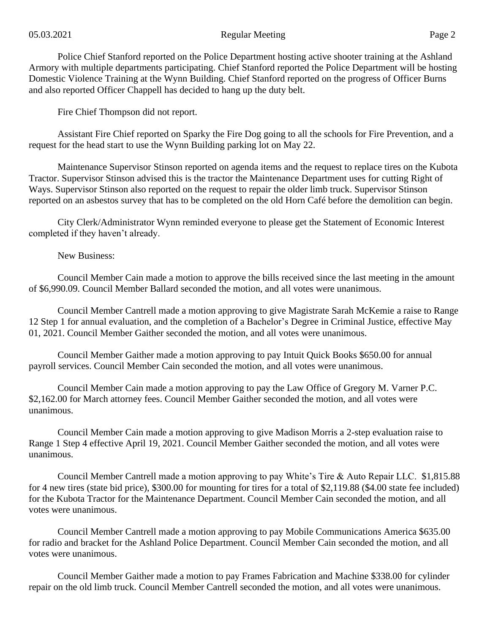Police Chief Stanford reported on the Police Department hosting active shooter training at the Ashland Armory with multiple departments participating. Chief Stanford reported the Police Department will be hosting Domestic Violence Training at the Wynn Building. Chief Stanford reported on the progress of Officer Burns and also reported Officer Chappell has decided to hang up the duty belt.

Fire Chief Thompson did not report.

Assistant Fire Chief reported on Sparky the Fire Dog going to all the schools for Fire Prevention, and a request for the head start to use the Wynn Building parking lot on May 22.

Maintenance Supervisor Stinson reported on agenda items and the request to replace tires on the Kubota Tractor. Supervisor Stinson advised this is the tractor the Maintenance Department uses for cutting Right of Ways. Supervisor Stinson also reported on the request to repair the older limb truck. Supervisor Stinson reported on an asbestos survey that has to be completed on the old Horn Café before the demolition can begin.

City Clerk/Administrator Wynn reminded everyone to please get the Statement of Economic Interest completed if they haven't already.

New Business:

Council Member Cain made a motion to approve the bills received since the last meeting in the amount of \$6,990.09. Council Member Ballard seconded the motion, and all votes were unanimous.

Council Member Cantrell made a motion approving to give Magistrate Sarah McKemie a raise to Range 12 Step 1 for annual evaluation, and the completion of a Bachelor's Degree in Criminal Justice, effective May 01, 2021. Council Member Gaither seconded the motion, and all votes were unanimous.

Council Member Gaither made a motion approving to pay Intuit Quick Books \$650.00 for annual payroll services. Council Member Cain seconded the motion, and all votes were unanimous.

Council Member Cain made a motion approving to pay the Law Office of Gregory M. Varner P.C. \$2,162.00 for March attorney fees. Council Member Gaither seconded the motion, and all votes were unanimous.

Council Member Cain made a motion approving to give Madison Morris a 2-step evaluation raise to Range 1 Step 4 effective April 19, 2021. Council Member Gaither seconded the motion, and all votes were unanimous.

Council Member Cantrell made a motion approving to pay White's Tire & Auto Repair LLC. \$1,815.88 for 4 new tires (state bid price), \$300.00 for mounting for tires for a total of \$2,119.88 (\$4.00 state fee included) for the Kubota Tractor for the Maintenance Department. Council Member Cain seconded the motion, and all votes were unanimous.

Council Member Cantrell made a motion approving to pay Mobile Communications America \$635.00 for radio and bracket for the Ashland Police Department. Council Member Cain seconded the motion, and all votes were unanimous.

Council Member Gaither made a motion to pay Frames Fabrication and Machine \$338.00 for cylinder repair on the old limb truck. Council Member Cantrell seconded the motion, and all votes were unanimous.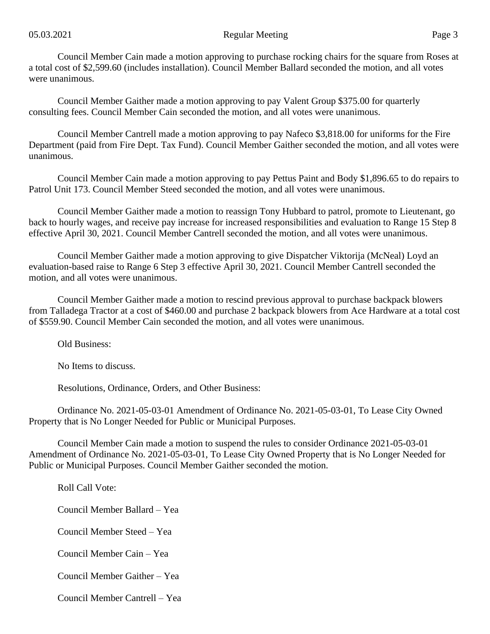Council Member Cain made a motion approving to purchase rocking chairs for the square from Roses at a total cost of \$2,599.60 (includes installation). Council Member Ballard seconded the motion, and all votes were unanimous.

Council Member Gaither made a motion approving to pay Valent Group \$375.00 for quarterly consulting fees. Council Member Cain seconded the motion, and all votes were unanimous.

Council Member Cantrell made a motion approving to pay Nafeco \$3,818.00 for uniforms for the Fire Department (paid from Fire Dept. Tax Fund). Council Member Gaither seconded the motion, and all votes were unanimous.

Council Member Cain made a motion approving to pay Pettus Paint and Body \$1,896.65 to do repairs to Patrol Unit 173. Council Member Steed seconded the motion, and all votes were unanimous.

Council Member Gaither made a motion to reassign Tony Hubbard to patrol, promote to Lieutenant, go back to hourly wages, and receive pay increase for increased responsibilities and evaluation to Range 15 Step 8 effective April 30, 2021. Council Member Cantrell seconded the motion, and all votes were unanimous.

Council Member Gaither made a motion approving to give Dispatcher Viktorija (McNeal) Loyd an evaluation-based raise to Range 6 Step 3 effective April 30, 2021. Council Member Cantrell seconded the motion, and all votes were unanimous.

Council Member Gaither made a motion to rescind previous approval to purchase backpack blowers from Talladega Tractor at a cost of \$460.00 and purchase 2 backpack blowers from Ace Hardware at a total cost of \$559.90. Council Member Cain seconded the motion, and all votes were unanimous.

Old Business:

No Items to discuss.

Resolutions, Ordinance, Orders, and Other Business:

Ordinance No. 2021-05-03-01 Amendment of Ordinance No. 2021-05-03-01, To Lease City Owned Property that is No Longer Needed for Public or Municipal Purposes.

Council Member Cain made a motion to suspend the rules to consider Ordinance 2021-05-03-01 Amendment of Ordinance No. 2021-05-03-01, To Lease City Owned Property that is No Longer Needed for Public or Municipal Purposes. Council Member Gaither seconded the motion.

Roll Call Vote:

Council Member Ballard – Yea

Council Member Steed – Yea

Council Member Cain – Yea

Council Member Gaither – Yea

Council Member Cantrell – Yea